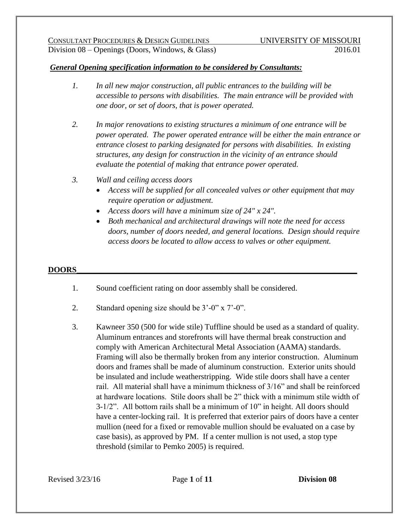#### *General Opening specification information to be considered by Consultants:*

- *1. In all new major construction, all public entrances to the building will be accessible to persons with disabilities. The main entrance will be provided with one door, or set of doors, that is power operated.*
- *2. In major renovations to existing structures a minimum of one entrance will be power operated. The power operated entrance will be either the main entrance or entrance closest to parking designated for persons with disabilities. In existing structures, any design for construction in the vicinity of an entrance should evaluate the potential of making that entrance power operated.*
- *3. Wall and ceiling access doors*
	- *Access will be supplied for all concealed valves or other equipment that may require operation or adjustment.*
	- *Access doors will have a minimum size of 24" x 24".*
	- *Both mechanical and architectural drawings will note the need for access doors, number of doors needed, and general locations. Design should require access doors be located to allow access to valves or other equipment.*

#### **DOORS\_\_\_\_\_\_\_\_\_\_\_\_\_\_\_\_\_\_\_\_\_\_\_\_\_\_\_\_\_\_\_\_\_\_\_\_\_\_\_\_\_\_\_\_\_\_\_\_\_\_\_\_\_\_\_\_\_\_\_\_\_\_\_\_\_\_\_\_\_\_**

- 1. Sound coefficient rating on door assembly shall be considered.
- 2. Standard opening size should be 3'-0" x 7'-0".
- 3. Kawneer 350 (500 for wide stile) Tuffline should be used as a standard of quality. Aluminum entrances and storefronts will have thermal break construction and comply with American Architectural Metal Association (AAMA) standards. Framing will also be thermally broken from any interior construction. Aluminum doors and frames shall be made of aluminum construction. Exterior units should be insulated and include weatherstripping. Wide stile doors shall have a center rail. All material shall have a minimum thickness of 3/16" and shall be reinforced at hardware locations. Stile doors shall be 2" thick with a minimum stile width of 3-1/2". All bottom rails shall be a minimum of 10" in height. All doors should have a center-locking rail. It is preferred that exterior pairs of doors have a center mullion (need for a fixed or removable mullion should be evaluated on a case by case basis), as approved by PM. If a center mullion is not used, a stop type threshold (similar to Pemko 2005) is required.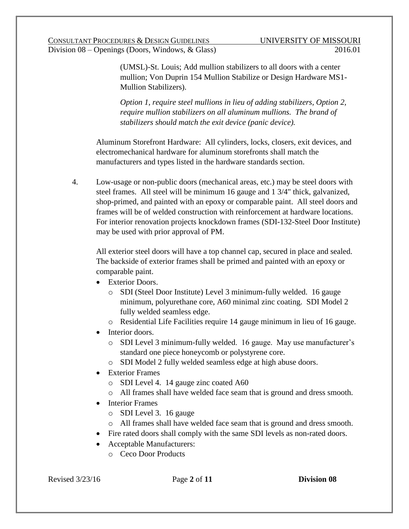(UMSL)-St. Louis; Add mullion stabilizers to all doors with a center mullion; Von Duprin 154 Mullion Stabilize or Design Hardware MS1- Mullion Stabilizers).

*Option 1, require steel mullions in lieu of adding stabilizers, Option 2, require mullion stabilizers on all aluminum mullions. The brand of stabilizers should match the exit device (panic device).*

Aluminum Storefront Hardware: All cylinders, locks, closers, exit devices, and electromechanical hardware for aluminum storefronts shall match the manufacturers and types listed in the hardware standards section.

4. Low-usage or non-public doors (mechanical areas, etc.) may be steel doors with steel frames. All steel will be minimum 16 gauge and 1 3/4" thick, galvanized, shop-primed, and painted with an epoxy or comparable paint. All steel doors and frames will be of welded construction with reinforcement at hardware locations. For interior renovation projects knockdown frames (SDI-132-Steel Door Institute) may be used with prior approval of PM.

All exterior steel doors will have a top channel cap, secured in place and sealed. The backside of exterior frames shall be primed and painted with an epoxy or comparable paint.

- Exterior Doors.
	- o SDI (Steel Door Institute) Level 3 minimum-fully welded. 16 gauge minimum, polyurethane core, A60 minimal zinc coating. SDI Model 2 fully welded seamless edge.
	- o Residential Life Facilities require 14 gauge minimum in lieu of 16 gauge.
- Interior doors.
	- o SDI Level 3 minimum-fully welded. 16 gauge. May use manufacturer's standard one piece honeycomb or polystyrene core.
	- o SDI Model 2 fully welded seamless edge at high abuse doors.
- Exterior Frames
	- o SDI Level 4. 14 gauge zinc coated A60
	- o All frames shall have welded face seam that is ground and dress smooth.
- Interior Frames
	- o SDI Level 3. 16 gauge
	- o All frames shall have welded face seam that is ground and dress smooth.
- Fire rated doors shall comply with the same SDI levels as non-rated doors.
- Acceptable Manufacturers:
	- o Ceco Door Products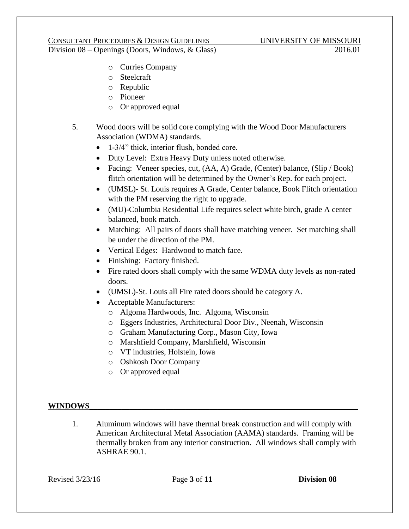## CONSULTANT PROCEDURES & DESIGN GUIDELINES UNIVERSITY OF MISSOURI

Division 08 – Openings (Doors, Windows, & Glass) 2016.01

- o Curries Company
- o Steelcraft
- o Republic
- o Pioneer
- o Or approved equal
- 5. Wood doors will be solid core complying with the Wood Door Manufacturers Association (WDMA) standards.
	- 1-3/4" thick, interior flush, bonded core.
	- Duty Level: Extra Heavy Duty unless noted otherwise.
	- Facing: Veneer species, cut,  $(AA, A)$  Grade, (Center) balance, (Slip / Book) flitch orientation will be determined by the Owner's Rep. for each project.
	- (UMSL)- St. Louis requires A Grade, Center balance, Book Flitch orientation with the PM reserving the right to upgrade.
	- (MU)-Columbia Residential Life requires select white birch, grade A center balanced, book match.
	- Matching: All pairs of doors shall have matching veneer. Set matching shall be under the direction of the PM.
	- Vertical Edges: Hardwood to match face.
	- Finishing: Factory finished.
	- Fire rated doors shall comply with the same WDMA duty levels as non-rated doors.
	- (UMSL)-St. Louis all Fire rated doors should be category A.
	- Acceptable Manufacturers:
		- o Algoma Hardwoods, Inc. Algoma, Wisconsin
		- o Eggers Industries, Architectural Door Div., Neenah, Wisconsin
		- o Graham Manufacturing Corp., Mason City, Iowa
		- o Marshfield Company, Marshfield, Wisconsin
		- o VT industries, Holstein, Iowa
		- o Oshkosh Door Company
		- o Or approved equal

#### $\bf{WINDOWS}$

1. Aluminum windows will have thermal break construction and will comply with American Architectural Metal Association (AAMA) standards. Framing will be thermally broken from any interior construction. All windows shall comply with ASHRAE 90.1.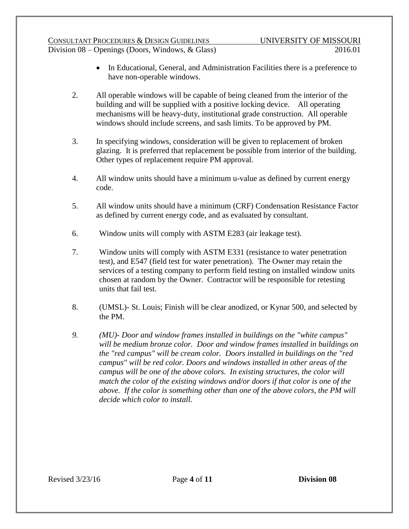#### CONSULTANT PROCEDURES & DESIGN GUIDELINES UNIVERSITY OF MISSOURI Division 08 – Openings (Doors, Windows, & Glass) 2016.01

- In Educational, General, and Administration Facilities there is a preference to have non-operable windows.
- 2. All operable windows will be capable of being cleaned from the interior of the building and will be supplied with a positive locking device. All operating mechanisms will be heavy-duty, institutional grade construction. All operable windows should include screens, and sash limits. To be approved by PM.
- 3. In specifying windows, consideration will be given to replacement of broken glazing. It is preferred that replacement be possible from interior of the building. Other types of replacement require PM approval.
- 4. All window units should have a minimum u-value as defined by current energy code.
- 5. All window units should have a minimum (CRF) Condensation Resistance Factor as defined by current energy code, and as evaluated by consultant.
- 6. Window units will comply with ASTM E283 (air leakage test).
- 7. Window units will comply with ASTM E331 (resistance to water penetration test), and E547 (field test for water penetration). The Owner may retain the services of a testing company to perform field testing on installed window units chosen at random by the Owner. Contractor will be responsible for retesting units that fail test.
- 8. (UMSL)- St. Louis; Finish will be clear anodized, or Kynar 500, and selected by the PM.
- *9. (MU)- Door and window frames installed in buildings on the "white campus" will be medium bronze color. Door and window frames installed in buildings on the "red campus" will be cream color. Doors installed in buildings on the "red campus" will be red color. Doors and windows installed in other areas of the campus will be one of the above colors. In existing structures, the color will match the color of the existing windows and/or doors if that color is one of the above. If the color is something other than one of the above colors, the PM will decide which color to install.*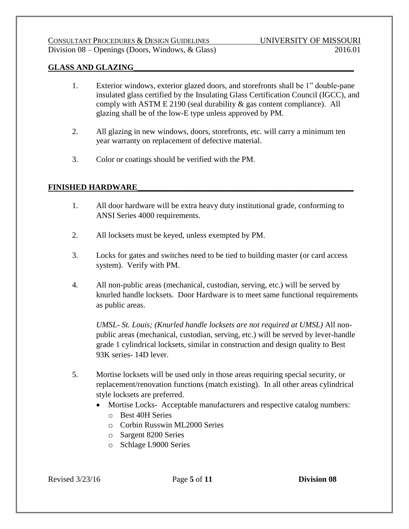#### **GLASS AND GLAZING\_\_\_\_\_\_\_\_\_\_\_\_\_\_\_\_\_\_\_\_\_\_\_\_\_\_\_\_\_\_\_\_\_\_\_\_\_\_\_\_\_\_\_\_\_\_\_\_\_\_\_\_\_\_\_**

- 1. Exterior windows, exterior glazed doors, and storefronts shall be 1" double-pane insulated glass certified by the Insulating Glass Certification Council (IGCC), and comply with ASTM E 2190 (seal durability & gas content compliance). All glazing shall be of the low-E type unless approved by PM.
- 2. All glazing in new windows, doors, storefronts, etc. will carry a minimum ten year warranty on replacement of defective material.
- 3. Color or coatings should be verified with the PM.

#### **FINISHED HARDWARE\_\_\_\_\_\_\_\_\_\_\_\_\_\_\_\_\_\_\_\_\_\_\_\_\_\_\_\_\_\_\_\_\_\_\_\_\_\_\_\_\_\_\_\_\_\_\_\_\_\_\_\_\_\_**

- 1. All door hardware will be extra heavy duty institutional grade, conforming to ANSI Series 4000 requirements.
- 2. All locksets must be keyed, unless exempted by PM.
- 3. Locks for gates and switches need to be tied to building master (or card access system). Verify with PM.
- 4. All non-public areas (mechanical, custodian, serving, etc.) will be served by knurled handle locksets. Door Hardware is to meet same functional requirements as public areas.

*UMSL- St. Louis; (Knurled handle locksets are not required at UMSL)* All nonpublic areas (mechanical, custodian, serving, etc.) will be served by lever-handle grade 1 cylindrical locksets, similar in construction and design quality to Best 93K series- 14D lever.

- 5. Mortise locksets will be used only in those areas requiring special security, or replacement/renovation functions (match existing). In all other areas cylindrical style locksets are preferred.
	- Mortise Locks- Acceptable manufacturers and respective catalog numbers:
		- o Best 40H Series
		- o Corbin Russwin ML2000 Series
		- o Sargent 8200 Series
		- o Schlage L9000 Series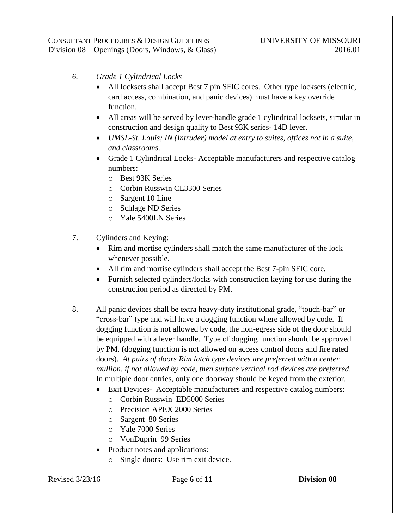- *6. Grade 1 Cylindrical Locks*
	- All locksets shall accept Best 7 pin SFIC cores. Other type locksets (electric, card access, combination, and panic devices) must have a key override function.
	- All areas will be served by lever-handle grade 1 cylindrical locksets, similar in construction and design quality to Best 93K series- 14D lever.
	- *UMSL-St. Louis; IN (Intruder) model at entry to suites, offices not in a suite, and classrooms*.
	- Grade 1 Cylindrical Locks- Acceptable manufacturers and respective catalog numbers:
		- o Best 93K Series
		- o Corbin Russwin CL3300 Series
		- o Sargent 10 Line
		- o Schlage ND Series
		- o Yale 5400LN Series
- 7. Cylinders and Keying:
	- Rim and mortise cylinders shall match the same manufacturer of the lock whenever possible.
	- All rim and mortise cylinders shall accept the Best 7-pin SFIC core.
	- Furnish selected cylinders/locks with construction keying for use during the construction period as directed by PM.
- 8. All panic devices shall be extra heavy-duty institutional grade, "touch-bar" or "cross-bar" type and will have a dogging function where allowed by code. If dogging function is not allowed by code, the non-egress side of the door should be equipped with a lever handle. Type of dogging function should be approved by PM. (dogging function is not allowed on access control doors and fire rated doors). *At pairs of doors Rim latch type devices are preferred with a center mullion, if not allowed by code, then surface vertical rod devices are preferred*. In multiple door entries, only one doorway should be keyed from the exterior.
	- Exit Devices- Acceptable manufacturers and respective catalog numbers:
		- o Corbin Russwin ED5000 Series
		- o Precision APEX 2000 Series
		- o Sargent 80 Series
		- o Yale 7000 Series
		- o VonDuprin 99 Series
	- Product notes and applications:
		- o Single doors: Use rim exit device.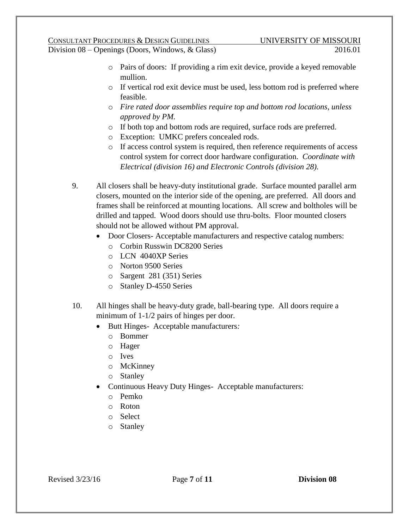## CONSULTANT PROCEDURES & DESIGN GUIDELINES UNIVERSITY OF MISSOURI

Division 08 – Openings (Doors, Windows, & Glass) 2016.01

- o Pairs of doors: If providing a rim exit device, provide a keyed removable mullion.
- o If vertical rod exit device must be used, less bottom rod is preferred where feasible.
- o *Fire rated door assemblies require top and bottom rod locations, unless approved by PM.*
- o If both top and bottom rods are required, surface rods are preferred.
- o Exception: UMKC prefers concealed rods.
- o If access control system is required, then reference requirements of access control system for correct door hardware configuration. *Coordinate with Electrical (division 16) and Electronic Controls (division 28).*
- 9. All closers shall be heavy-duty institutional grade. Surface mounted parallel arm closers, mounted on the interior side of the opening, are preferred. All doors and frames shall be reinforced at mounting locations. All screw and boltholes will be drilled and tapped. Wood doors should use thru-bolts. Floor mounted closers should not be allowed without PM approval.
	- Door Closers- Acceptable manufacturers and respective catalog numbers:
		- o Corbin Russwin DC8200 Series
		- o LCN 4040XP Series
		- o Norton 9500 Series
		- o Sargent 281 (351) Series
		- o Stanley D-4550 Series
- 10. All hinges shall be heavy-duty grade, ball-bearing type. All doors require a minimum of 1-1/2 pairs of hinges per door.
	- Butt Hinges- Acceptable manufacturers*:*
		- o Bommer
		- o Hager
		- o Ives
		- o McKinney
		- o Stanley
	- Continuous Heavy Duty Hinges- Acceptable manufacturers:
		- o Pemko
		- o Roton
		- o Select
		- o Stanley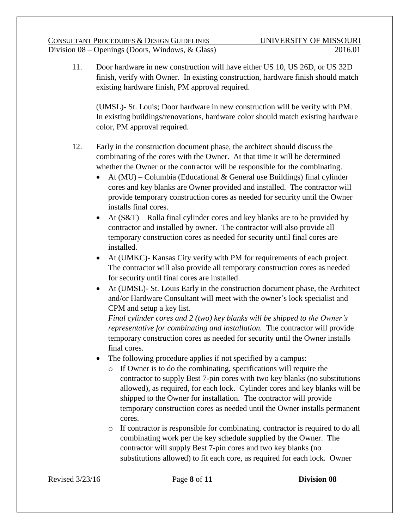11. Door hardware in new construction will have either US 10, US 26D, or US 32D finish, verify with Owner. In existing construction, hardware finish should match existing hardware finish, PM approval required.

(UMSL)- St. Louis; Door hardware in new construction will be verify with PM. In existing buildings/renovations, hardware color should match existing hardware color, PM approval required.

- 12. Early in the construction document phase, the architect should discuss the combinating of the cores with the Owner. At that time it will be determined whether the Owner or the contractor will be responsible for the combinating.
	- At  $(MU)$  Columbia (Educational & General use Buildings) final cylinder cores and key blanks are Owner provided and installed. The contractor will provide temporary construction cores as needed for security until the Owner installs final cores.
	- $\blacktriangleright$  At (S&T) Rolla final cylinder cores and key blanks are to be provided by contractor and installed by owner. The contractor will also provide all temporary construction cores as needed for security until final cores are installed.
	- At (UMKC)- Kansas City verify with PM for requirements of each project. The contractor will also provide all temporary construction cores as needed for security until final cores are installed.
	- At (UMSL)- St. Louis Early in the construction document phase, the Architect and/or Hardware Consultant will meet with the owner's lock specialist and CPM and setup a key list.

*Final cylinder cores and 2 (two) key blanks will be shipped to the Owner's representative for combinating and installation.* The contractor will provide temporary construction cores as needed for security until the Owner installs final cores.

- The following procedure applies if not specified by a campus:
	- o If Owner is to do the combinating, specifications will require the contractor to supply Best 7-pin cores with two key blanks (no substitutions allowed), as required, for each lock. Cylinder cores and key blanks will be shipped to the Owner for installation. The contractor will provide temporary construction cores as needed until the Owner installs permanent cores.
	- o If contractor is responsible for combinating, contractor is required to do all combinating work per the key schedule supplied by the Owner. The contractor will supply Best 7-pin cores and two key blanks (no substitutions allowed) to fit each core, as required for each lock. Owner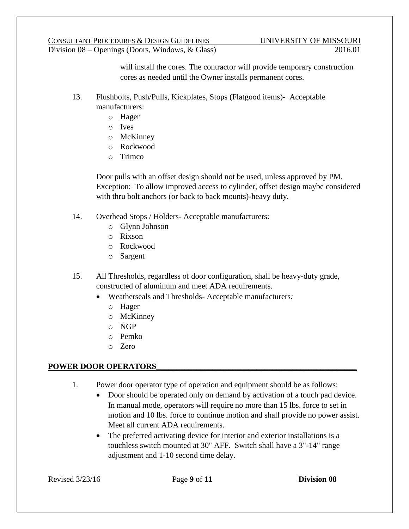will install the cores. The contractor will provide temporary construction cores as needed until the Owner installs permanent cores.

- 13. Flushbolts, Push/Pulls, Kickplates, Stops (Flatgood items)- Acceptable manufacturers:
	- o Hager
	- o Ives
	- o McKinney
	- o Rockwood
	- o Trimco

Door pulls with an offset design should not be used, unless approved by PM. Exception: To allow improved access to cylinder, offset design maybe considered with thru bolt anchors (or back to back mounts)-heavy duty.

- 14. Overhead Stops / Holders- Acceptable manufacturers*:*
	- o Glynn Johnson
	- o Rixson
	- o Rockwood
	- o Sargent
- 15. All Thresholds, regardless of door configuration, shall be heavy-duty grade, constructed of aluminum and meet ADA requirements.
	- Weatherseals and Thresholds- Acceptable manufacturers*:*
		- o Hager
		- o McKinney
		- o NGP
		- o Pemko
		- o Zero

### **POWER DOOR OPERATORS\_\_\_\_\_\_\_\_\_\_\_\_\_\_\_\_\_\_\_\_\_\_\_\_\_\_\_\_\_\_\_\_\_\_\_\_\_\_\_\_\_\_\_\_\_\_\_\_\_\_**

- 1. Power door operator type of operation and equipment should be as follows:
	- Door should be operated only on demand by activation of a touch pad device. In manual mode, operators will require no more than 15 lbs. force to set in motion and 10 lbs. force to continue motion and shall provide no power assist. Meet all current ADA requirements.
	- The preferred activating device for interior and exterior installations is a touchless switch mounted at 30" AFF. Switch shall have a 3"-14" range adjustment and 1-10 second time delay.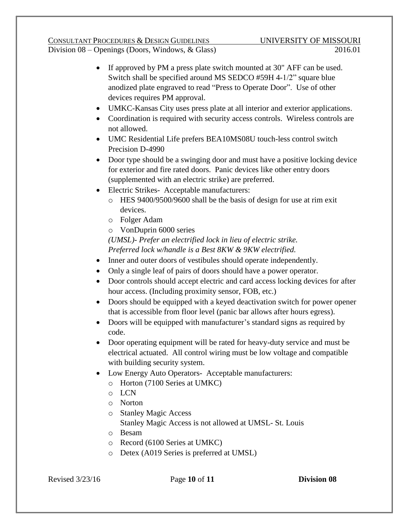# CONSULTANT PROCEDURES & DESIGN GUIDELINES UNIVERSITY OF MISSOURI

Division 08 – Openings (Doors, Windows, & Glass) 2016.01

- If approved by PM a press plate switch mounted at 30" AFF can be used. Switch shall be specified around MS SEDCO #59H 4-1/2" square blue anodized plate engraved to read "Press to Operate Door". Use of other devices requires PM approval.
- UMKC-Kansas City uses press plate at all interior and exterior applications.
- Coordination is required with security access controls. Wireless controls are not allowed.
- UMC Residential Life prefers BEA10MS08U touch-less control switch Precision D-4990
- Door type should be a swinging door and must have a positive locking device for exterior and fire rated doors. Panic devices like other entry doors (supplemented with an electric strike) are preferred.
- Electric Strikes- Acceptable manufacturers:
	- o HES 9400/9500/9600 shall be the basis of design for use at rim exit devices.
	- o Folger Adam
	- o VonDuprin 6000 series
	- *(UMSL)- Prefer an electrified lock in lieu of electric strike. Preferred lock w/handle is a Best 8KW & 9KW electrified.*
- Inner and outer doors of vestibules should operate independently.
- Only a single leaf of pairs of doors should have a power operator.
- Door controls should accept electric and card access locking devices for after hour access. (Including proximity sensor, FOB, etc.)
- Doors should be equipped with a keyed deactivation switch for power opener that is accessible from floor level (panic bar allows after hours egress).
- Doors will be equipped with manufacturer's standard signs as required by code.
- Door operating equipment will be rated for heavy-duty service and must be electrical actuated. All control wiring must be low voltage and compatible with building security system.
- Low Energy Auto Operators- Acceptable manufacturers:
	- o Horton (7100 Series at UMKC)
	- o LCN
	- o Norton
	- o Stanley Magic Access Stanley Magic Access is not allowed at UMSL- St. Louis
	- o Besam
	- o Record (6100 Series at UMKC)
	- o Detex (A019 Series is preferred at UMSL)